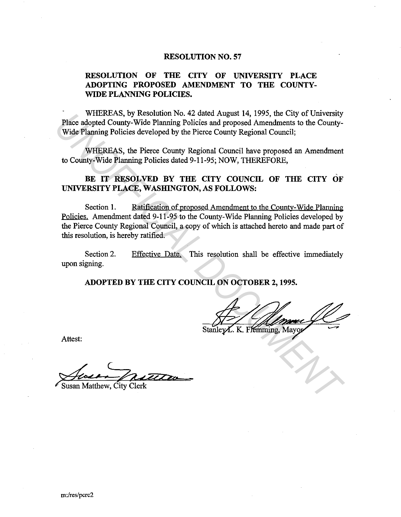### **RESOLUTION NO. 57**

# **RESOLUTION OF THE CITY OF UNIVERSITY PLACE ADOPTING PROPOSED AMENDMENT TO THE COUNTY-WIDE PLANNING POLICIES.**

WHEREAS, by Resolution No. 42 dated August 14, 1995, the City of University Place adopted County-Wide Planning Policies and proposed Amendments to the County-Wide Planning Policies developed by the Pierce County Regional Council;

WHEREAS, the Pierce County Regional Council have proposed an Amendment to County-Wide Planning Policies dated 9-11-95; NOW, THEREFORE,

## BE IT RESOLVED BY THE CITY COUNCIL OF THE CITY OF **UNIVERSITY PLACE, WASHINGTON, AS FOLLOWS:**

Section 1. Ratification of proposed Amendment to the County-Wide Planning Policies. Amendment dated 9-11-95 to the County-Wide Planning Policies developed by the Pierce County Regional Council, a copy of which is attached hereto and made part of this resolution, is hereby ratified. WHEKEAS, by Resoution Yo, 42 dated August 14, 1995, the City of University County-Wide Planning Policies and proposed Amendments to the County-Wide Planning Rolicies developed by the Pierce County Regional Council, WHEREAS

Section 2. upon signing. Effective Date. This resolution shall be effective immediately

**ADOPTED BY THE CITY COUNCIL ON OCTOBER 2, 1995.** 

Attest:

Susan Matthew, City Clerk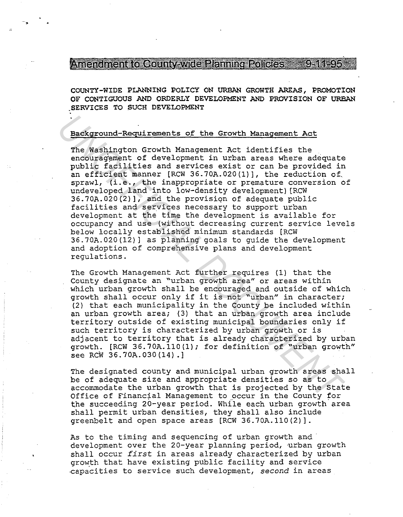Antendricht folloging wide Planning Policies - C-11-95

COUNTY-WIDE PLANNING POLICY ON URBAN GROWTH AREAS, PROMOTION OF CONTIGUOUS AND ORDERLY DEVELOPMENT AND PROVISION OF URBAN .SERVICES TO SUCH DEVELOPMENT

### Background-Requirements of the Growth Management Act

-·-,

The Washington Growth Management Act identifies the encouragement of development in urban areas where adequate public facilities and services exist or can be provided in an efficient manner [RCW 36.70A.020(1)], the reduction of sprawl, (i.e., the inappropriate or premature conversion of undeveloped land into low-density development) [RCW  $36.70A.020(2)$ , and the provision of adequate public facilities and services necessary to support urban development at the time the development is available for occupancy and use (without decreasing current service levels below locally established minimum standards [RCW 36.70A.020(12)] as planning goals to guide the development and adoption of comprehensive plans and development regulations. **Eackground-Requirements of the Crowth Management Act**<br>The Washington crowth Management Act identifies the<br>envolvingement of development in urban areas where adequate<br>public facilities and ervices exist or can be provided

The Growth Management Act further requires (1) that the County designate an "urban growth area" or areas within which urban growth shall be encouraged and outside of which growth shall occur only if it is not "urban" in character; (2) that each municipality in the County be included within an urban growth area; (3) that an urban growth area include territory outside of existing municipal boundaries only if such territory is characterized by urban growth or is adjacent to territory that is already characterized by urban growth. [RCW 36.70A.110(1); for definition of "urban growth" see RCW 36.70A.030(14) .]

The designated county and municipal urban growth areas shall be of adequate size and appropriate densities so as to accommodate the urban growth that is projected by the State Office of Financial Management to occur in the County for the succeeding 20-year period. While each urban growth area shall permit urban densities, they shall also include greenbelt and open space areas [RCW 36.70A.110(2)].

As to the timing and sequencing of urban growth and · development over the 20-year planning period, urban growth shall occur *first* in areas already characterized by urban growth that have existing public facility and service capacities to service such development, second in areas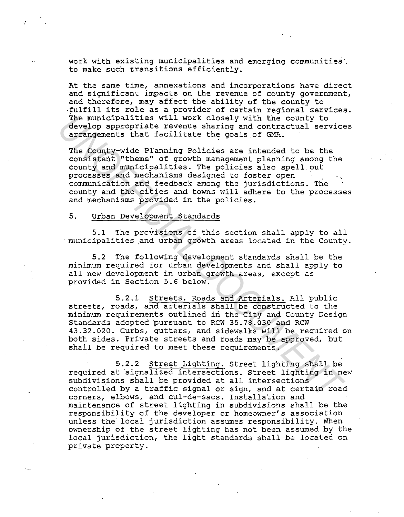work with existing municipalities and emerging communities. to make such transitions efficiently.

At the same time, annexations and incorporations have direct and significant impacts on the revenue of county government, and therefore, may affect the ability of the county to -fulfill its role as a provider of certain regional services. The municipalities will work closely with the county to develop appropriate revenue sharing and contractual services arrangements that facilitate the goals.of GMA.

The County-wide Planning Policies are intended to be the consistent "theme" of growth management planning among the county and municipalities. The policies also spell out processes and mechanisms designed to foster open communication and feedback among the jurisdictions. The county and the cities and towns will adhere to the processes and mechanisms provided in the policies.

### 5. Urban Development Standards

 $\mathbf{M}(\mathbf{r})$  , and  $\mathbf{r}$  , and

5.1 The provisions of this section shall apply to all municipalities and urban growth areas located in the County.

5.2 The following development standards shall be the minimum required for urban developments and shall apply to all new development in urban growth areas, except as provided in Section 5.6 below.

5.2.1 Streets, Roads and Arterials. All public streets, roads, and arterials shall be constructed to the minimum requirements outlined in the City and County Design Standards adopted pursuant to RCW 35.78.030 and RCW 43.32.020. curbs, gutters, and sidewalks will be required on both sides. Private streets and roads may be approved, but shall be required to meet these requirements. The municipalities will work closely with the county to<br>develop appropriate revenue sharing and contractual service<br>arrangements that facilitate the goals of GMA.<br>The County-wide Planning Policies are intended to be the<br>co

5.2.2 Street Lighting. Street lighting shall be required at signalized intersections. Street lighting in new subdivisions shall be provided at all intersections controlled by a traffic signal or sign, and at certain road corners, elbows, and cul-de-sacs. Installation and maintenance of street lighting in subdivisions shall be the responsibility of the developer or homeowner's association unless the local jurisdiction assumes responsibility. When ownership of the street lighting has not been assumed by the local jurisdiction, the light standards shall be located on private property.